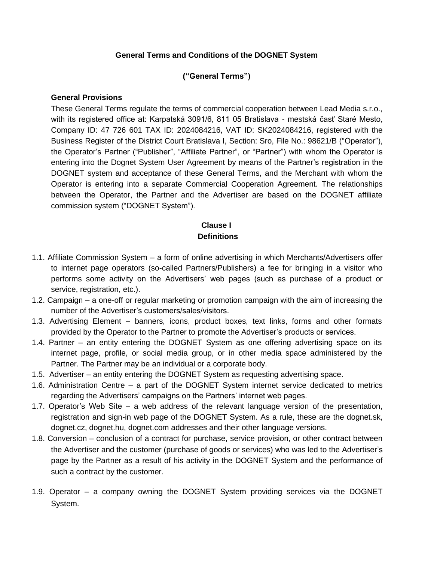### **General Terms and Conditions of the DOGNET System**

### **("General Terms")**

#### **General Provisions**

These General Terms regulate the terms of commercial cooperation between Lead Media s.r.o., with its registered office at: Karpatská 3091/6, 811 05 Bratislava - mestská časť Staré Mesto, Company ID: 47 726 601 TAX ID: 2024084216, VAT ID: SK2024084216, registered with the Business Register of the District Court Bratislava I, Section: Sro, File No.: 98621/B ("Operator"), the Operator's Partner ("Publisher", "Affiliate Partner", or "Partner") with whom the Operator is entering into the Dognet System User Agreement by means of the Partner's registration in the DOGNET system and acceptance of these General Terms, and the Merchant with whom the Operator is entering into a separate Commercial Cooperation Agreement. The relationships between the Operator, the Partner and the Advertiser are based on the DOGNET affiliate commission system ("DOGNET System").

#### **Clause I Definitions**

- 1.1. Affiliate Commission System a form of online advertising in which Merchants/Advertisers offer to internet page operators (so-called Partners/Publishers) a fee for bringing in a visitor who performs some activity on the Advertisers' web pages (such as purchase of a product or service, registration, etc.).
- 1.2. Campaign a one-off or regular marketing or promotion campaign with the aim of increasing the number of the Advertiser's customers/sales/visitors.
- 1.3. Advertising Element banners, icons, product boxes, text links, forms and other formats provided by the Operator to the Partner to promote the Advertiser's products or services.
- 1.4. Partner an entity entering the DOGNET System as one offering advertising space on its internet page, profile, or social media group, or in other media space administered by the Partner. The Partner may be an individual or a corporate body.
- 1.5. Advertiser an entity entering the DOGNET System as requesting advertising space.
- 1.6. Administration Centre a part of the DOGNET System internet service dedicated to metrics regarding the Advertisers' campaigns on the Partners' internet web pages.
- 1.7. Operator's Web Site a web address of the relevant language version of the presentation, registration and sign-in web page of the DOGNET System. As a rule, these are the dognet.sk, dognet.cz, dognet.hu, dognet.com addresses and their other language versions.
- 1.8. Conversion conclusion of a contract for purchase, service provision, or other contract between the Advertiser and the customer (purchase of goods or services) who was led to the Advertiser's page by the Partner as a result of his activity in the DOGNET System and the performance of such a contract by the customer.
- 1.9. Operator a company owning the DOGNET System providing services via the DOGNET System.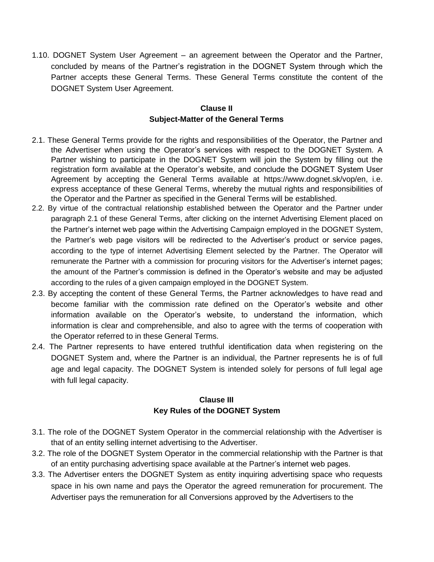1.10. DOGNET System User Agreement – an agreement between the Operator and the Partner, concluded by means of the Partner's registration in the DOGNET System through which the Partner accepts these General Terms. These General Terms constitute the content of the DOGNET System User Agreement.

#### **Clause II Subject-Matter of the General Terms**

- 2.1. These General Terms provide for the rights and responsibilities of the Operator, the Partner and the Advertiser when using the Operator's services with respect to the DOGNET System. A Partner wishing to participate in the DOGNET System will join the System by filling out the registration form available at the Operator's website, and conclude the DOGNET System User Agreement by accepting the General Terms available at https://www.dognet.sk/vop/en, i.e. express acceptance of these General Terms, whereby the mutual rights and responsibilities of the Operator and the Partner as specified in the General Terms will be established.
- 2.2. By virtue of the contractual relationship established between the Operator and the Partner under paragraph 2.1 of these General Terms, after clicking on the internet Advertising Element placed on the Partner's internet web page within the Advertising Campaign employed in the DOGNET System, the Partner's web page visitors will be redirected to the Advertiser's product or service pages, according to the type of internet Advertising Element selected by the Partner. The Operator will remunerate the Partner with a commission for procuring visitors for the Advertiser's internet pages; the amount of the Partner's commission is defined in the Operator's website and may be adjusted according to the rules of a given campaign employed in the DOGNET System.
- 2.3. By accepting the content of these General Terms, the Partner acknowledges to have read and become familiar with the commission rate defined on the Operator's website and other information available on the Operator's website, to understand the information, which information is clear and comprehensible, and also to agree with the terms of cooperation with the Operator referred to in these General Terms.
- 2.4. The Partner represents to have entered truthful identification data when registering on the DOGNET System and, where the Partner is an individual, the Partner represents he is of full age and legal capacity. The DOGNET System is intended solely for persons of full legal age with full legal capacity.

#### **Clause III Key Rules of the DOGNET System**

- 3.1. The role of the DOGNET System Operator in the commercial relationship with the Advertiser is that of an entity selling internet advertising to the Advertiser.
- 3.2. The role of the DOGNET System Operator in the commercial relationship with the Partner is that of an entity purchasing advertising space available at the Partner's internet web pages.
- 3.3. The Advertiser enters the DOGNET System as entity inquiring advertising space who requests space in his own name and pays the Operator the agreed remuneration for procurement. The Advertiser pays the remuneration for all Conversions approved by the Advertisers to the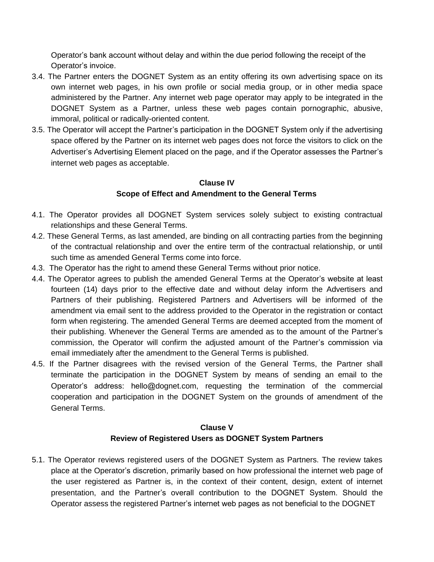Operator's bank account without delay and within the due period following the receipt of the Operator's invoice.

- 3.4. The Partner enters the DOGNET System as an entity offering its own advertising space on its own internet web pages, in his own profile or social media group, or in other media space administered by the Partner. Any internet web page operator may apply to be integrated in the DOGNET System as a Partner, unless these web pages contain pornographic, abusive, immoral, political or radically-oriented content.
- 3.5. The Operator will accept the Partner's participation in the DOGNET System only if the advertising space offered by the Partner on its internet web pages does not force the visitors to click on the Advertiser's Advertising Element placed on the page, and if the Operator assesses the Partner's internet web pages as acceptable.

# **Clause IV Scope of Effect and Amendment to the General Terms**

- 4.1. The Operator provides all DOGNET System services solely subject to existing contractual relationships and these General Terms.
- 4.2. These General Terms, as last amended, are binding on all contracting parties from the beginning of the contractual relationship and over the entire term of the contractual relationship, or until such time as amended General Terms come into force.
- 4.3. The Operator has the right to amend these General Terms without prior notice.
- 4.4. The Operator agrees to publish the amended General Terms at the Operator's website at least fourteen (14) days prior to the effective date and without delay inform the Advertisers and Partners of their publishing. Registered Partners and Advertisers will be informed of the amendment via email sent to the address provided to the Operator in the registration or contact form when registering. The amended General Terms are deemed accepted from the moment of their publishing. Whenever the General Terms are amended as to the amount of the Partner's commission, the Operator will confirm the adjusted amount of the Partner's commission via email immediately after the amendment to the General Terms is published.
- 4.5. If the Partner disagrees with the revised version of the General Terms, the Partner shall terminate the participation in the DOGNET System by means of sending an email to the Operator's address: hello@dognet.com, requesting the termination of the commercial cooperation and participation in the DOGNET System on the grounds of amendment of the General Terms.

# **Clause V Review of Registered Users as DOGNET System Partners**

5.1. The Operator reviews registered users of the DOGNET System as Partners. The review takes place at the Operator's discretion, primarily based on how professional the internet web page of the user registered as Partner is, in the context of their content, design, extent of internet presentation, and the Partner's overall contribution to the DOGNET System. Should the Operator assess the registered Partner's internet web pages as not beneficial to the DOGNET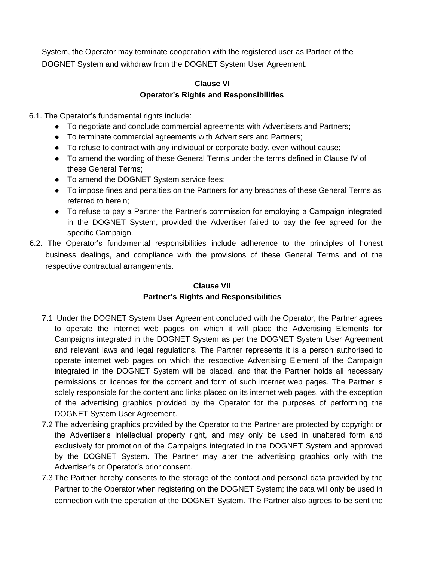System, the Operator may terminate cooperation with the registered user as Partner of the DOGNET System and withdraw from the DOGNET System User Agreement.

#### **Clause VI Operator's Rights and Responsibilities**

- 6.1. The Operator's fundamental rights include:
	- To negotiate and conclude commercial agreements with Advertisers and Partners;
	- To terminate commercial agreements with Advertisers and Partners;
	- To refuse to contract with any individual or corporate body, even without cause;
	- To amend the wording of these General Terms under the terms defined in Clause IV of these General Terms;
	- To amend the DOGNET System service fees;
	- To impose fines and penalties on the Partners for any breaches of these General Terms as referred to herein;
	- To refuse to pay a Partner the Partner's commission for employing a Campaign integrated in the DOGNET System, provided the Advertiser failed to pay the fee agreed for the specific Campaign.
- 6.2. The Operator's fundamental responsibilities include adherence to the principles of honest business dealings, and compliance with the provisions of these General Terms and of the respective contractual arrangements.

# **Clause VII**

### **Partner's Rights and Responsibilities**

- 7.1 Under the DOGNET System User Agreement concluded with the Operator, the Partner agrees to operate the internet web pages on which it will place the Advertising Elements for Campaigns integrated in the DOGNET System as per the DOGNET System User Agreement and relevant laws and legal regulations. The Partner represents it is a person authorised to operate internet web pages on which the respective Advertising Element of the Campaign integrated in the DOGNET System will be placed, and that the Partner holds all necessary permissions or licences for the content and form of such internet web pages. The Partner is solely responsible for the content and links placed on its internet web pages, with the exception of the advertising graphics provided by the Operator for the purposes of performing the DOGNET System User Agreement.
- 7.2 The advertising graphics provided by the Operator to the Partner are protected by copyright or the Advertiser's intellectual property right, and may only be used in unaltered form and exclusively for promotion of the Campaigns integrated in the DOGNET System and approved by the DOGNET System. The Partner may alter the advertising graphics only with the Advertiser's or Operator's prior consent.
- 7.3 The Partner hereby consents to the storage of the contact and personal data provided by the Partner to the Operator when registering on the DOGNET System; the data will only be used in connection with the operation of the DOGNET System. The Partner also agrees to be sent the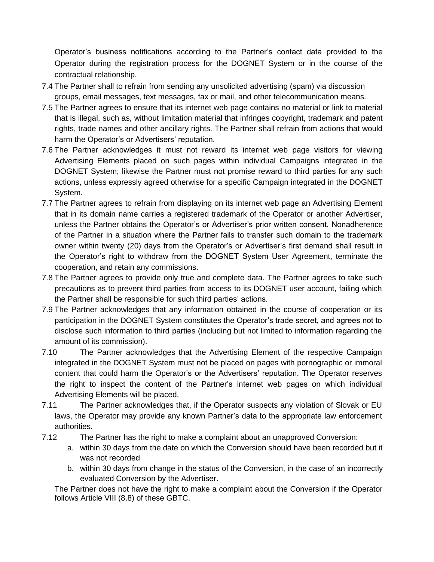Operator's business notifications according to the Partner's contact data provided to the Operator during the registration process for the DOGNET System or in the course of the contractual relationship.

- 7.4 The Partner shall to refrain from sending any unsolicited advertising (spam) via discussion groups, email messages, text messages, fax or mail, and other telecommunication means.
- 7.5 The Partner agrees to ensure that its internet web page contains no material or link to material that is illegal, such as, without limitation material that infringes copyright, trademark and patent rights, trade names and other ancillary rights. The Partner shall refrain from actions that would harm the Operator's or Advertisers' reputation.
- 7.6 The Partner acknowledges it must not reward its internet web page visitors for viewing Advertising Elements placed on such pages within individual Campaigns integrated in the DOGNET System; likewise the Partner must not promise reward to third parties for any such actions, unless expressly agreed otherwise for a specific Campaign integrated in the DOGNET System.
- 7.7 The Partner agrees to refrain from displaying on its internet web page an Advertising Element that in its domain name carries a registered trademark of the Operator or another Advertiser, unless the Partner obtains the Operator's or Advertiser's prior written consent. Nonadherence of the Partner in a situation where the Partner fails to transfer such domain to the trademark owner within twenty (20) days from the Operator's or Advertiser's first demand shall result in the Operator's right to withdraw from the DOGNET System User Agreement, terminate the cooperation, and retain any commissions.
- 7.8 The Partner agrees to provide only true and complete data. The Partner agrees to take such precautions as to prevent third parties from access to its DOGNET user account, failing which the Partner shall be responsible for such third parties' actions.
- 7.9 The Partner acknowledges that any information obtained in the course of cooperation or its participation in the DOGNET System constitutes the Operator's trade secret, and agrees not to disclose such information to third parties (including but not limited to information regarding the amount of its commission).
- 7.10 The Partner acknowledges that the Advertising Element of the respective Campaign integrated in the DOGNET System must not be placed on pages with pornographic or immoral content that could harm the Operator's or the Advertisers' reputation. The Operator reserves the right to inspect the content of the Partner's internet web pages on which individual Advertising Elements will be placed.
- 7.11 The Partner acknowledges that, if the Operator suspects any violation of Slovak or EU laws, the Operator may provide any known Partner's data to the appropriate law enforcement authorities.
- 7.12 The Partner has the right to make a complaint about an unapproved Conversion:
	- a. within 30 days from the date on which the Conversion should have been recorded but it was not recorded
	- b. within 30 days from change in the status of the Conversion, in the case of an incorrectly evaluated Conversion by the Advertiser.

The Partner does not have the right to make a complaint about the Conversion if the Operator follows Article VIII (8.8) of these GBTC.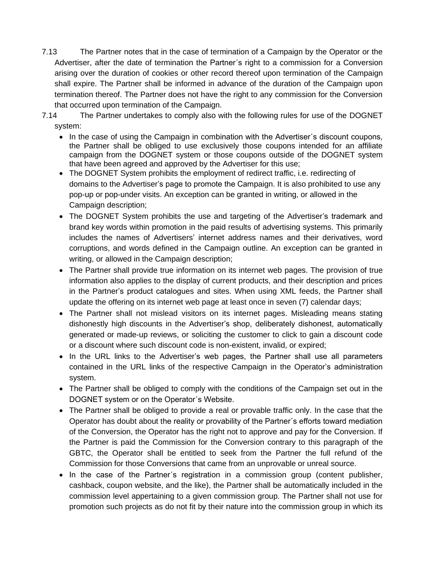- 7.13 The Partner notes that in the case of termination of a Campaign by the Operator or the Advertiser, after the date of termination the Partner´s right to a commission for a Conversion arising over the duration of cookies or other record thereof upon termination of the Campaign shall expire. The Partner shall be informed in advance of the duration of the Campaign upon termination thereof. The Partner does not have the right to any commission for the Conversion that occurred upon termination of the Campaign.
- 7.14 The Partner undertakes to comply also with the following rules for use of the DOGNET system:
	- In the case of using the Campaign in combination with the Advertiser's discount coupons, the Partner shall be obliged to use exclusively those coupons intended for an affiliate campaign from the DOGNET system or those coupons outside of the DOGNET system that have been agreed and approved by the Advertiser for this use;
	- The DOGNET System prohibits the employment of redirect traffic, i.e. redirecting of domains to the Advertiser's page to promote the Campaign. It is also prohibited to use any pop-up or pop-under visits. An exception can be granted in writing, or allowed in the Campaign description;
	- The DOGNET System prohibits the use and targeting of the Advertiser's trademark and brand key words within promotion in the paid results of advertising systems. This primarily includes the names of Advertisers' internet address names and their derivatives, word corruptions, and words defined in the Campaign outline. An exception can be granted in writing, or allowed in the Campaign description;
	- The Partner shall provide true information on its internet web pages. The provision of true information also applies to the display of current products, and their description and prices in the Partner's product catalogues and sites. When using XML feeds, the Partner shall update the offering on its internet web page at least once in seven (7) calendar days;
	- The Partner shall not mislead visitors on its internet pages. Misleading means stating dishonestly high discounts in the Advertiser's shop, deliberately dishonest, automatically generated or made-up reviews, or soliciting the customer to click to gain a discount code or a discount where such discount code is non-existent, invalid, or expired;
	- In the URL links to the Advertiser's web pages, the Partner shall use all parameters contained in the URL links of the respective Campaign in the Operator's administration system.
	- The Partner shall be obliged to comply with the conditions of the Campaign set out in the DOGNET system or on the Operator´s Website.
	- The Partner shall be obliged to provide a real or provable traffic only. In the case that the Operator has doubt about the reality or provability of the Partner´s efforts toward mediation of the Conversion, the Operator has the right not to approve and pay for the Conversion. If the Partner is paid the Commission for the Conversion contrary to this paragraph of the GBTC, the Operator shall be entitled to seek from the Partner the full refund of the Commission for those Conversions that came from an unprovable or unreal source.
	- In the case of the Partner´s registration in a commission group (content publisher, cashback, coupon website, and the like), the Partner shall be automatically included in the commission level appertaining to a given commission group. The Partner shall not use for promotion such projects as do not fit by their nature into the commission group in which its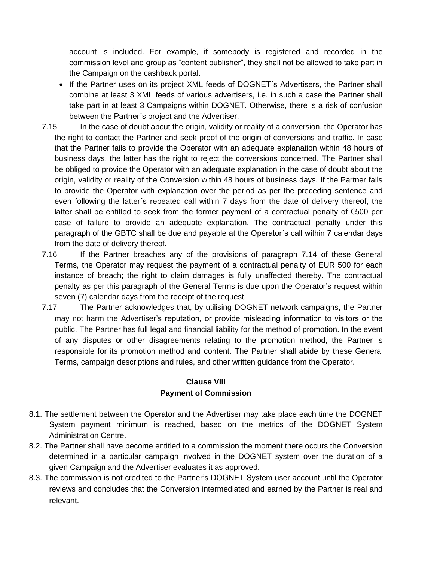account is included. For example, if somebody is registered and recorded in the commission level and group as "content publisher", they shall not be allowed to take part in the Campaign on the cashback portal.

- If the Partner uses on its project XML feeds of DOGNET's Advertisers, the Partner shall combine at least 3 XML feeds of various advertisers, i.e. in such a case the Partner shall take part in at least 3 Campaigns within DOGNET. Otherwise, there is a risk of confusion between the Partner´s project and the Advertiser.
- 7.15 In the case of doubt about the origin, validity or reality of a conversion, the Operator has the right to contact the Partner and seek proof of the origin of conversions and traffic. In case that the Partner fails to provide the Operator with an adequate explanation within 48 hours of business days, the latter has the right to reject the conversions concerned. The Partner shall be obliged to provide the Operator with an adequate explanation in the case of doubt about the origin, validity or reality of the Conversion within 48 hours of business days. If the Partner fails to provide the Operator with explanation over the period as per the preceding sentence and even following the latter´s repeated call within 7 days from the date of delivery thereof, the latter shall be entitled to seek from the former payment of a contractual penalty of  $€500$  per case of failure to provide an adequate explanation. The contractual penalty under this paragraph of the GBTC shall be due and payable at the Operator´s call within 7 calendar days from the date of delivery thereof.
- 7.16 If the Partner breaches any of the provisions of paragraph 7.14 of these General Terms, the Operator may request the payment of a contractual penalty of EUR 500 for each instance of breach; the right to claim damages is fully unaffected thereby. The contractual penalty as per this paragraph of the General Terms is due upon the Operator's request within seven (7) calendar days from the receipt of the request.
- 7.17 The Partner acknowledges that, by utilising DOGNET network campaigns, the Partner may not harm the Advertiser's reputation, or provide misleading information to visitors or the public. The Partner has full legal and financial liability for the method of promotion. In the event of any disputes or other disagreements relating to the promotion method, the Partner is responsible for its promotion method and content. The Partner shall abide by these General Terms, campaign descriptions and rules, and other written guidance from the Operator.

### **Clause VIII Payment of Commission**

- 8.1. The settlement between the Operator and the Advertiser may take place each time the DOGNET System payment minimum is reached, based on the metrics of the DOGNET System Administration Centre.
- 8.2. The Partner shall have become entitled to a commission the moment there occurs the Conversion determined in a particular campaign involved in the DOGNET system over the duration of a given Campaign and the Advertiser evaluates it as approved.
- 8.3. The commission is not credited to the Partner's DOGNET System user account until the Operator reviews and concludes that the Conversion intermediated and earned by the Partner is real and relevant.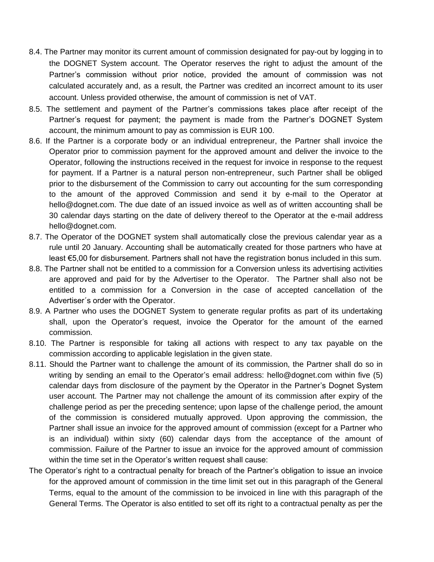- 8.4. The Partner may monitor its current amount of commission designated for pay-out by logging in to the DOGNET System account. The Operator reserves the right to adjust the amount of the Partner's commission without prior notice, provided the amount of commission was not calculated accurately and, as a result, the Partner was credited an incorrect amount to its user account. Unless provided otherwise, the amount of commission is net of VAT.
- 8.5. The settlement and payment of the Partner's commissions takes place after receipt of the Partner's request for payment; the payment is made from the Partner's DOGNET System account, the minimum amount to pay as commission is EUR 100.
- 8.6. If the Partner is a corporate body or an individual entrepreneur, the Partner shall invoice the Operator prior to commission payment for the approved amount and deliver the invoice to the Operator, following the instructions received in the request for invoice in response to the request for payment. If a Partner is a natural person non-entrepreneur, such Partner shall be obliged prior to the disbursement of the Commission to carry out accounting for the sum corresponding to the amount of the approved Commission and send it by e-mail to the Operator at hello@dognet.com. The due date of an issued invoice as well as of written accounting shall be 30 calendar days starting on the date of delivery thereof to the Operator at the e-mail address hello@dognet.com.
- 8.7. The Operator of the DOGNET system shall automatically close the previous calendar year as a rule until 20 January. Accounting shall be automatically created for those partners who have at least €5,00 for disbursement. Partners shall not have the registration bonus included in this sum.
- 8.8. The Partner shall not be entitled to a commission for a Conversion unless its advertising activities are approved and paid for by the Advertiser to the Operator. The Partner shall also not be entitled to a commission for a Conversion in the case of accepted cancellation of the Advertiser´s order with the Operator.
- 8.9. A Partner who uses the DOGNET System to generate regular profits as part of its undertaking shall, upon the Operator's request, invoice the Operator for the amount of the earned commission.
- 8.10. The Partner is responsible for taking all actions with respect to any tax payable on the commission according to applicable legislation in the given state.
- 8.11. Should the Partner want to challenge the amount of its commission, the Partner shall do so in writing by sending an email to the Operator's email address: hello@dognet.com within five (5) calendar days from disclosure of the payment by the Operator in the Partner's Dognet System user account. The Partner may not challenge the amount of its commission after expiry of the challenge period as per the preceding sentence; upon lapse of the challenge period, the amount of the commission is considered mutually approved. Upon approving the commission, the Partner shall issue an invoice for the approved amount of commission (except for a Partner who is an individual) within sixty (60) calendar days from the acceptance of the amount of commission. Failure of the Partner to issue an invoice for the approved amount of commission within the time set in the Operator's written request shall cause:
- The Operator's right to a contractual penalty for breach of the Partner's obligation to issue an invoice for the approved amount of commission in the time limit set out in this paragraph of the General Terms, equal to the amount of the commission to be invoiced in line with this paragraph of the General Terms. The Operator is also entitled to set off its right to a contractual penalty as per the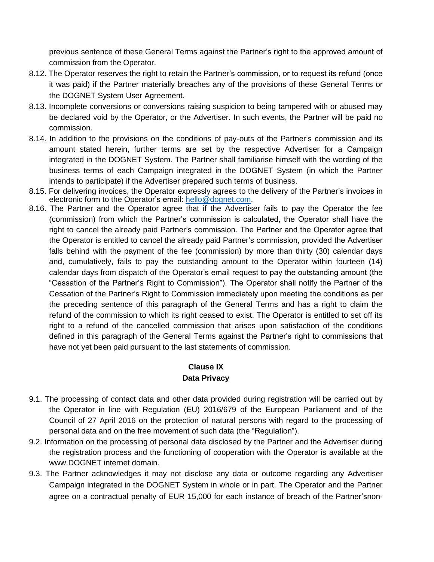previous sentence of these General Terms against the Partner's right to the approved amount of commission from the Operator.

- 8.12. The Operator reserves the right to retain the Partner's commission, or to request its refund (once it was paid) if the Partner materially breaches any of the provisions of these General Terms or the DOGNET System User Agreement.
- 8.13. Incomplete conversions or conversions raising suspicion to being tampered with or abused may be declared void by the Operator, or the Advertiser. In such events, the Partner will be paid no commission.
- 8.14. In addition to the provisions on the conditions of pay-outs of the Partner's commission and its amount stated herein, further terms are set by the respective Advertiser for a Campaign integrated in the DOGNET System. The Partner shall familiarise himself with the wording of the business terms of each Campaign integrated in the DOGNET System (in which the Partner intends to participate) if the Advertiser prepared such terms of business.
- 8.15. For delivering invoices, the Operator expressly agrees to the delivery of the Partner's invoices in electronic form to the Operator's email: [hello@dognet.com.](mailto:​hello@dognet.com)
- 8.16. The Partner and the Operator agree that if the Advertiser fails to pay the Operator the fee (commission) from which the Partner's commission is calculated, the Operator shall have the right to cancel the already paid Partner's commission. The Partner and the Operator agree that the Operator is entitled to cancel the already paid Partner's commission, provided the Advertiser falls behind with the payment of the fee (commission) by more than thirty (30) calendar days and, cumulatively, fails to pay the outstanding amount to the Operator within fourteen (14) calendar days from dispatch of the Operator's email request to pay the outstanding amount (the "Cessation of the Partner's Right to Commission"). The Operator shall notify the Partner of the Cessation of the Partner's Right to Commission immediately upon meeting the conditions as per the preceding sentence of this paragraph of the General Terms and has a right to claim the refund of the commission to which its right ceased to exist. The Operator is entitled to set off its right to a refund of the cancelled commission that arises upon satisfaction of the conditions defined in this paragraph of the General Terms against the Partner's right to commissions that have not yet been paid pursuant to the last statements of commission.

### **Clause IX Data Privacy**

- 9.1. The processing of contact data and other data provided during registration will be carried out by the Operator in line with Regulation (EU) 2016/679 of the European Parliament and of the Council of 27 April 2016 on the protection of natural persons with regard to the processing of personal data and on the free movement of such data (the "Regulation").
- 9.2. Information on the processing of personal data disclosed by the Partner and the Advertiser during the registration process and the functioning of cooperation with the Operator is available at the www.DOGNET internet domain.
- 9.3. The Partner acknowledges it may not disclose any data or outcome regarding any Advertiser Campaign integrated in the DOGNET System in whole or in part. The Operator and the Partner agree on a contractual penalty of EUR 15,000 for each instance of breach of the Partner'snon-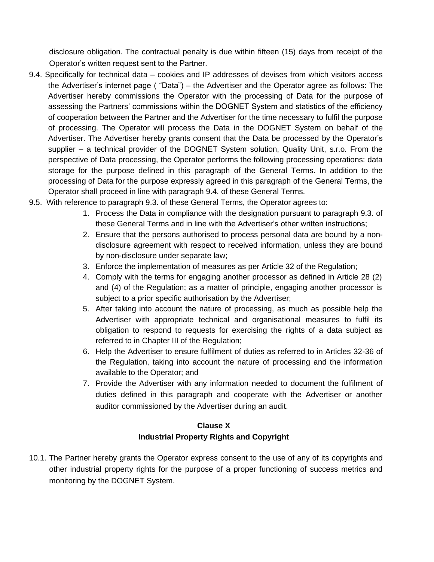disclosure obligation. The contractual penalty is due within fifteen (15) days from receipt of the Operator's written request sent to the Partner.

- 9.4. Specifically for technical data cookies and IP addresses of devises from which visitors access the Advertiser's internet page ( "Data") – the Advertiser and the Operator agree as follows: The Advertiser hereby commissions the Operator with the processing of Data for the purpose of assessing the Partners' commissions within the DOGNET System and statistics of the efficiency of cooperation between the Partner and the Advertiser for the time necessary to fulfil the purpose of processing. The Operator will process the Data in the DOGNET System on behalf of the Advertiser. The Advertiser hereby grants consent that the Data be processed by the Operator's supplier – a technical provider of the DOGNET System solution, Quality Unit, s.r.o. From the perspective of Data processing, the Operator performs the following processing operations: data storage for the purpose defined in this paragraph of the General Terms. In addition to the processing of Data for the purpose expressly agreed in this paragraph of the General Terms, the Operator shall proceed in line with paragraph 9.4. of these General Terms.
- 9.5. With reference to paragraph 9.3. of these General Terms, the Operator agrees to:
	- 1. Process the Data in compliance with the designation pursuant to paragraph 9.3. of these General Terms and in line with the Advertiser's other written instructions;
	- 2. Ensure that the persons authorised to process personal data are bound by a nondisclosure agreement with respect to received information, unless they are bound by non-disclosure under separate law;
	- 3. Enforce the implementation of measures as per Article 32 of the Regulation;
	- 4. Comply with the terms for engaging another processor as defined in Article 28 (2) and (4) of the Regulation; as a matter of principle, engaging another processor is subject to a prior specific authorisation by the Advertiser;
	- 5. After taking into account the nature of processing, as much as possible help the Advertiser with appropriate technical and organisational measures to fulfil its obligation to respond to requests for exercising the rights of a data subject as referred to in Chapter III of the Regulation;
	- 6. Help the Advertiser to ensure fulfilment of duties as referred to in Articles 32-36 of the Regulation, taking into account the nature of processing and the information available to the Operator; and
	- 7. Provide the Advertiser with any information needed to document the fulfilment of duties defined in this paragraph and cooperate with the Advertiser or another auditor commissioned by the Advertiser during an audit.

### **Clause X Industrial Property Rights and Copyright**

10.1. The Partner hereby grants the Operator express consent to the use of any of its copyrights and other industrial property rights for the purpose of a proper functioning of success metrics and monitoring by the DOGNET System.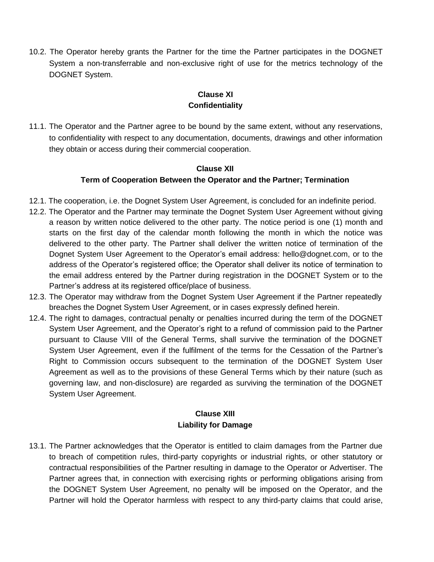10.2. The Operator hereby grants the Partner for the time the Partner participates in the DOGNET System a non-transferrable and non-exclusive right of use for the metrics technology of the DOGNET System.

# **Clause XI Confidentiality**

11.1. The Operator and the Partner agree to be bound by the same extent, without any reservations, to confidentiality with respect to any documentation, documents, drawings and other information they obtain or access during their commercial cooperation.

#### **Clause XII**

### **Term of Cooperation Between the Operator and the Partner; Termination**

- 12.1. The cooperation, i.e. the Dognet System User Agreement, is concluded for an indefinite period.
- 12.2. The Operator and the Partner may terminate the Dognet System User Agreement without giving a reason by written notice delivered to the other party. The notice period is one (1) month and starts on the first day of the calendar month following the month in which the notice was delivered to the other party. The Partner shall deliver the written notice of termination of the Dognet System User Agreement to the Operator's email address: hello@dognet.com, or to the address of the Operator's registered office; the Operator shall deliver its notice of termination to the email address entered by the Partner during registration in the DOGNET System or to the Partner's address at its registered office/place of business.
- 12.3. The Operator may withdraw from the Dognet System User Agreement if the Partner repeatedly breaches the Dognet System User Agreement, or in cases expressly defined herein.
- 12.4. The right to damages, contractual penalty or penalties incurred during the term of the DOGNET System User Agreement, and the Operator's right to a refund of commission paid to the Partner pursuant to Clause VIII of the General Terms, shall survive the termination of the DOGNET System User Agreement, even if the fulfilment of the terms for the Cessation of the Partner's Right to Commission occurs subsequent to the termination of the DOGNET System User Agreement as well as to the provisions of these General Terms which by their nature (such as governing law, and non-disclosure) are regarded as surviving the termination of the DOGNET System User Agreement.

### **Clause XIII Liability for Damage**

13.1. The Partner acknowledges that the Operator is entitled to claim damages from the Partner due to breach of competition rules, third-party copyrights or industrial rights, or other statutory or contractual responsibilities of the Partner resulting in damage to the Operator or Advertiser. The Partner agrees that, in connection with exercising rights or performing obligations arising from the DOGNET System User Agreement, no penalty will be imposed on the Operator, and the Partner will hold the Operator harmless with respect to any third-party claims that could arise,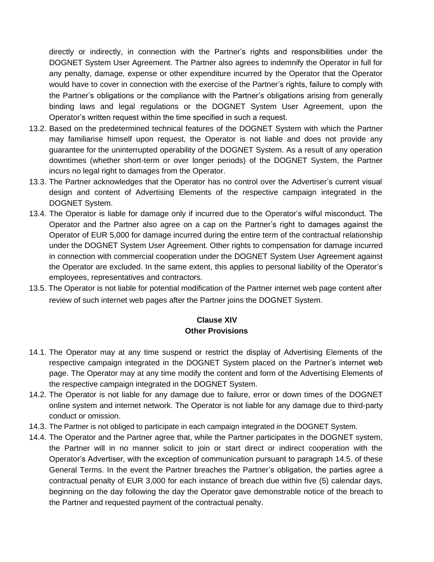directly or indirectly, in connection with the Partner's rights and responsibilities under the DOGNET System User Agreement. The Partner also agrees to indemnify the Operator in full for any penalty, damage, expense or other expenditure incurred by the Operator that the Operator would have to cover in connection with the exercise of the Partner's rights, failure to comply with the Partner's obligations or the compliance with the Partner's obligations arising from generally binding laws and legal regulations or the DOGNET System User Agreement, upon the Operator's written request within the time specified in such a request.

- 13.2. Based on the predetermined technical features of the DOGNET System with which the Partner may familiarise himself upon request, the Operator is not liable and does not provide any guarantee for the uninterrupted operability of the DOGNET System. As a result of any operation downtimes (whether short-term or over longer periods) of the DOGNET System, the Partner incurs no legal right to damages from the Operator.
- 13.3. The Partner acknowledges that the Operator has no control over the Advertiser's current visual design and content of Advertising Elements of the respective campaign integrated in the DOGNET System.
- 13.4. The Operator is liable for damage only if incurred due to the Operator's wilful misconduct. The Operator and the Partner also agree on a cap on the Partner's right to damages against the Operator of EUR 5,000 for damage incurred during the entire term of the contractual relationship under the DOGNET System User Agreement. Other rights to compensation for damage incurred in connection with commercial cooperation under the DOGNET System User Agreement against the Operator are excluded. In the same extent, this applies to personal liability of the Operator's employees, representatives and contractors.
- 13.5. The Operator is not liable for potential modification of the Partner internet web page content after review of such internet web pages after the Partner joins the DOGNET System.

### **Clause XIV Other Provisions**

- 14.1. The Operator may at any time suspend or restrict the display of Advertising Elements of the respective campaign integrated in the DOGNET System placed on the Partner's internet web page. The Operator may at any time modify the content and form of the Advertising Elements of the respective campaign integrated in the DOGNET System.
- 14.2. The Operator is not liable for any damage due to failure, error or down times of the DOGNET online system and internet network. The Operator is not liable for any damage due to third-party conduct or omission.
- 14.3. The Partner is not obliged to participate in each campaign integrated in the DOGNET System.
- 14.4. The Operator and the Partner agree that, while the Partner participates in the DOGNET system, the Partner will in no manner solicit to join or start direct or indirect cooperation with the Operator's Advertiser, with the exception of communication pursuant to paragraph 14.5. of these General Terms. In the event the Partner breaches the Partner's obligation, the parties agree a contractual penalty of EUR 3,000 for each instance of breach due within five (5) calendar days, beginning on the day following the day the Operator gave demonstrable notice of the breach to the Partner and requested payment of the contractual penalty.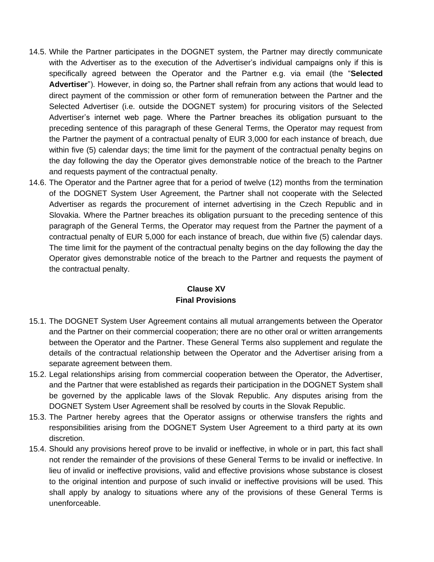- 14.5. While the Partner participates in the DOGNET system, the Partner may directly communicate with the Advertiser as to the execution of the Advertiser's individual campaigns only if this is specifically agreed between the Operator and the Partner e.g. via email (the "**Selected Advertiser**"). However, in doing so, the Partner shall refrain from any actions that would lead to direct payment of the commission or other form of remuneration between the Partner and the Selected Advertiser (i.e. outside the DOGNET system) for procuring visitors of the Selected Advertiser's internet web page. Where the Partner breaches its obligation pursuant to the preceding sentence of this paragraph of these General Terms, the Operator may request from the Partner the payment of a contractual penalty of EUR 3,000 for each instance of breach, due within five (5) calendar days; the time limit for the payment of the contractual penalty begins on the day following the day the Operator gives demonstrable notice of the breach to the Partner and requests payment of the contractual penalty.
- 14.6. The Operator and the Partner agree that for a period of twelve (12) months from the termination of the DOGNET System User Agreement, the Partner shall not cooperate with the Selected Advertiser as regards the procurement of internet advertising in the Czech Republic and in Slovakia. Where the Partner breaches its obligation pursuant to the preceding sentence of this paragraph of the General Terms, the Operator may request from the Partner the payment of a contractual penalty of EUR 5,000 for each instance of breach, due within five (5) calendar days. The time limit for the payment of the contractual penalty begins on the day following the day the Operator gives demonstrable notice of the breach to the Partner and requests the payment of the contractual penalty.

# **Clause XV Final Provisions**

- 15.1. The DOGNET System User Agreement contains all mutual arrangements between the Operator and the Partner on their commercial cooperation; there are no other oral or written arrangements between the Operator and the Partner. These General Terms also supplement and regulate the details of the contractual relationship between the Operator and the Advertiser arising from a separate agreement between them.
- 15.2. Legal relationships arising from commercial cooperation between the Operator, the Advertiser, and the Partner that were established as regards their participation in the DOGNET System shall be governed by the applicable laws of the Slovak Republic. Any disputes arising from the DOGNET System User Agreement shall be resolved by courts in the Slovak Republic.
- 15.3. The Partner hereby agrees that the Operator assigns or otherwise transfers the rights and responsibilities arising from the DOGNET System User Agreement to a third party at its own discretion.
- 15.4. Should any provisions hereof prove to be invalid or ineffective, in whole or in part, this fact shall not render the remainder of the provisions of these General Terms to be invalid or ineffective. In lieu of invalid or ineffective provisions, valid and effective provisions whose substance is closest to the original intention and purpose of such invalid or ineffective provisions will be used. This shall apply by analogy to situations where any of the provisions of these General Terms is unenforceable.